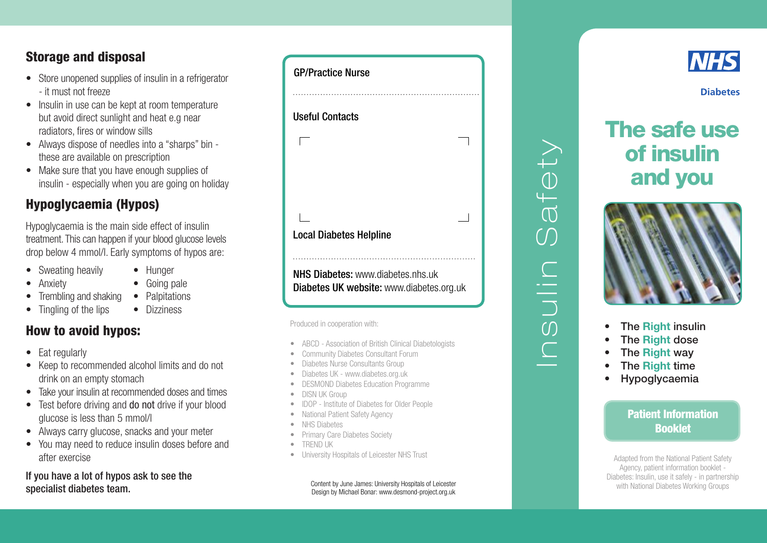## Storage and disposal

- Store unopened supplies of insulin in a refrigerator - it must not freeze
- Insulin in use can be kept at room temperature but avoid direct sunlight and heat e.g near radiators, fires or window sills
- Always dispose of needles into a "sharps" bin these are available on prescription
- Make sure that you have enough supplies of insulin - especially when you are going on holiday

## Hypoglycaemia (Hypos)

Hypoglycaemia is the main side effect of insulin treatment. This can happen if your blood glucose levels drop below 4 mmol/l. Early symptoms of hypos are:

- Sweating heavily
- Anxiety
- Hunger
- • Going pale
- Trembling and shaking • Tingling of the lips
- Palpitations
	- Dizziness

## How to avoid hypos:

- Eat regularly
- Keep to recommended alcohol limits and do not drink on an empty stomach
- Take your insulin at recommended doses and times
- Test before driving and do not drive if your blood glucose is less than 5 mmol/l
- Always carry glucose, snacks and your meter
- You may need to reduce insulin doses before and after exercise

If you have a lot of hypos ask to see the specialist diabetes team.

| <b>GP/Practice Nurse</b>                                                                    |  |
|---------------------------------------------------------------------------------------------|--|
|                                                                                             |  |
| <b>Useful Contacts</b>                                                                      |  |
|                                                                                             |  |
|                                                                                             |  |
|                                                                                             |  |
|                                                                                             |  |
| <b>Local Diabetes Helpline</b>                                                              |  |
|                                                                                             |  |
| <b>NHS Diabetes:</b> www.diabetes.nhs.uk<br><b>Diabetes UK website:</b> www.diabetes.org.uk |  |

Produced in cooperation with:

- ABCD Association of British Clinical Diabetologists
- **Community Diabetes Consultant Forum**
- Diabetes Nurse Consultants Group
- Diabetes UK www.diabetes.org.uk
- **DESMOND Diabetes Education Programme**
- DISN UK Group
- **IDOP** Institute of Diabetes for Older People
- **National Patient Safety Agency**
- **NHS Diabetes**
- **Primary Care Diabetes Society**
- • TREND UK
- University Hospitals of Leicester NHS Trust

Content by June James: University Hospitals of Leicester Design by Michael Bonar: www.desmond-project.org.uk



# The safe use of insulin and you



- The Right insulin
- The Right dose
- The Right way
- **The Right time**

Insulin Safety

DILIO<br>SUIN

 $\bigcap$ 

 $f \ominus f$ 

**Hypoglycaemia** 

Patient Information Booklet

Adapted from the National Patient Safety Agency, patient information booklet - Diabetes: Insulin, use it safely - in partnership with National Diabetes Working Groups